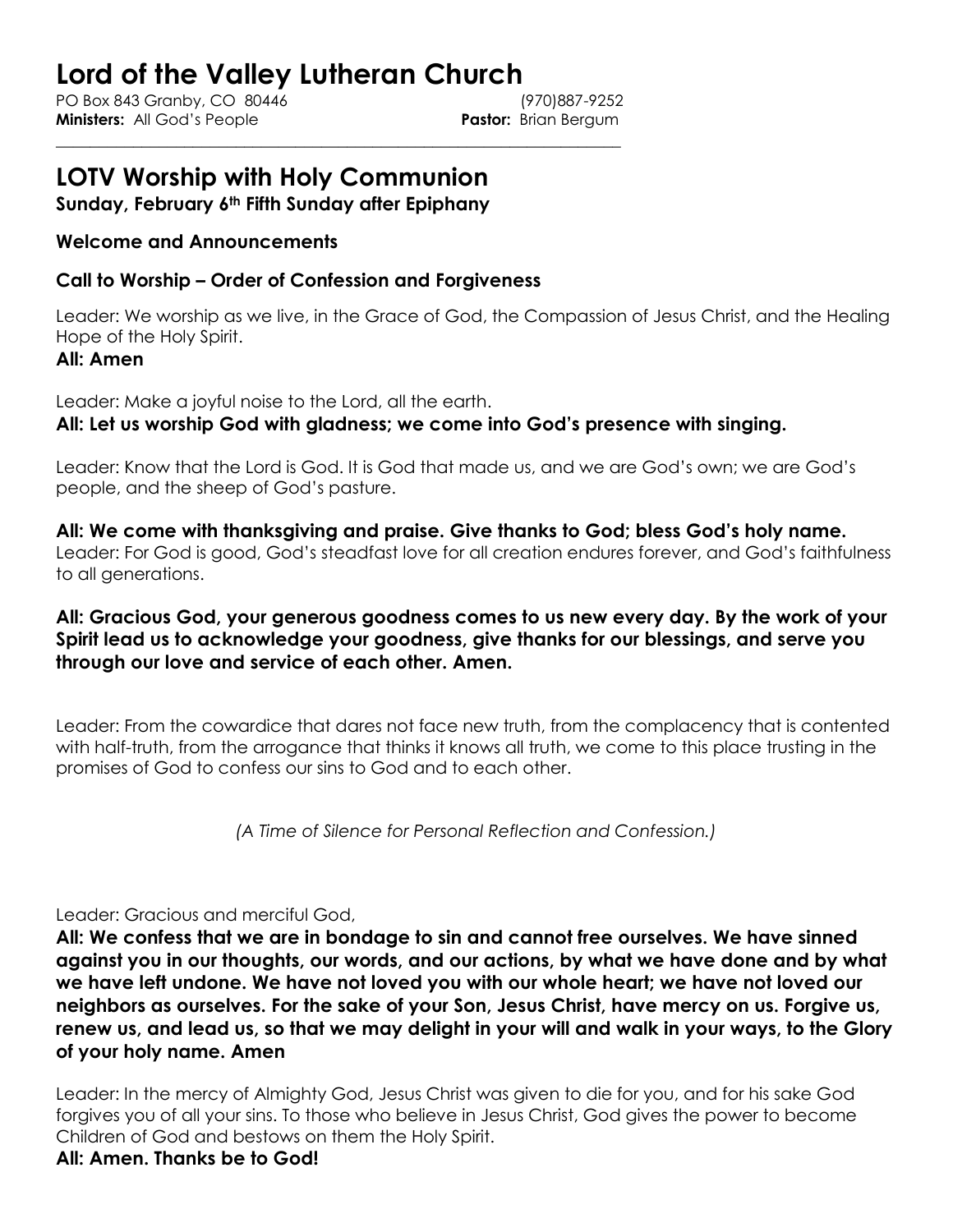# **Lord of the Valley Lutheran Church**

\_\_\_\_\_\_\_\_\_\_\_\_\_\_\_\_\_\_\_\_\_\_\_\_\_\_\_\_\_\_\_\_\_\_\_\_\_\_\_\_\_\_\_\_\_\_\_\_\_\_\_\_\_\_\_\_\_\_\_\_\_\_\_\_\_\_

PO Box 843 Granby, CO 80446 (970)887-9252 **Ministers:** All God's People **Pastor:** Brian Bergum

# **LOTV Worship with Holy Communion**

**Sunday, February 6th Fifth Sunday after Epiphany**

# **Welcome and Announcements**

# **Call to Worship – Order of Confession and Forgiveness**

Leader: We worship as we live, in the Grace of God, the Compassion of Jesus Christ, and the Healing Hope of the Holy Spirit.

#### **All: Amen**

Leader: Make a joyful noise to the Lord, all the earth. **All: Let us worship God with gladness; we come into God's presence with singing.** 

Leader: Know that the Lord is God. It is God that made us, and we are God's own; we are God's people, and the sheep of God's pasture.

**All: We come with thanksgiving and praise. Give thanks to God; bless God's holy name.**  Leader: For God is good, God's steadfast love for all creation endures forever, and God's faithfulness to all generations.

# **All: Gracious God, your generous goodness comes to us new every day. By the work of your Spirit lead us to acknowledge your goodness, give thanks for our blessings, and serve you through our love and service of each other. Amen.**

Leader: From the cowardice that dares not face new truth, from the complacency that is contented with half-truth, from the arrogance that thinks it knows all truth, we come to this place trusting in the promises of God to confess our sins to God and to each other.

*(A Time of Silence for Personal Reflection and Confession.)*

#### Leader: Gracious and merciful God,

**All: We confess that we are in bondage to sin and cannot free ourselves. We have sinned against you in our thoughts, our words, and our actions, by what we have done and by what we have left undone. We have not loved you with our whole heart; we have not loved our neighbors as ourselves. For the sake of your Son, Jesus Christ, have mercy on us. Forgive us, renew us, and lead us, so that we may delight in your will and walk in your ways, to the Glory of your holy name. Amen**

Leader: In the mercy of Almighty God, Jesus Christ was given to die for you, and for his sake God forgives you of all your sins. To those who believe in Jesus Christ, God gives the power to become Children of God and bestows on them the Holy Spirit.

# **All: Amen. Thanks be to God!**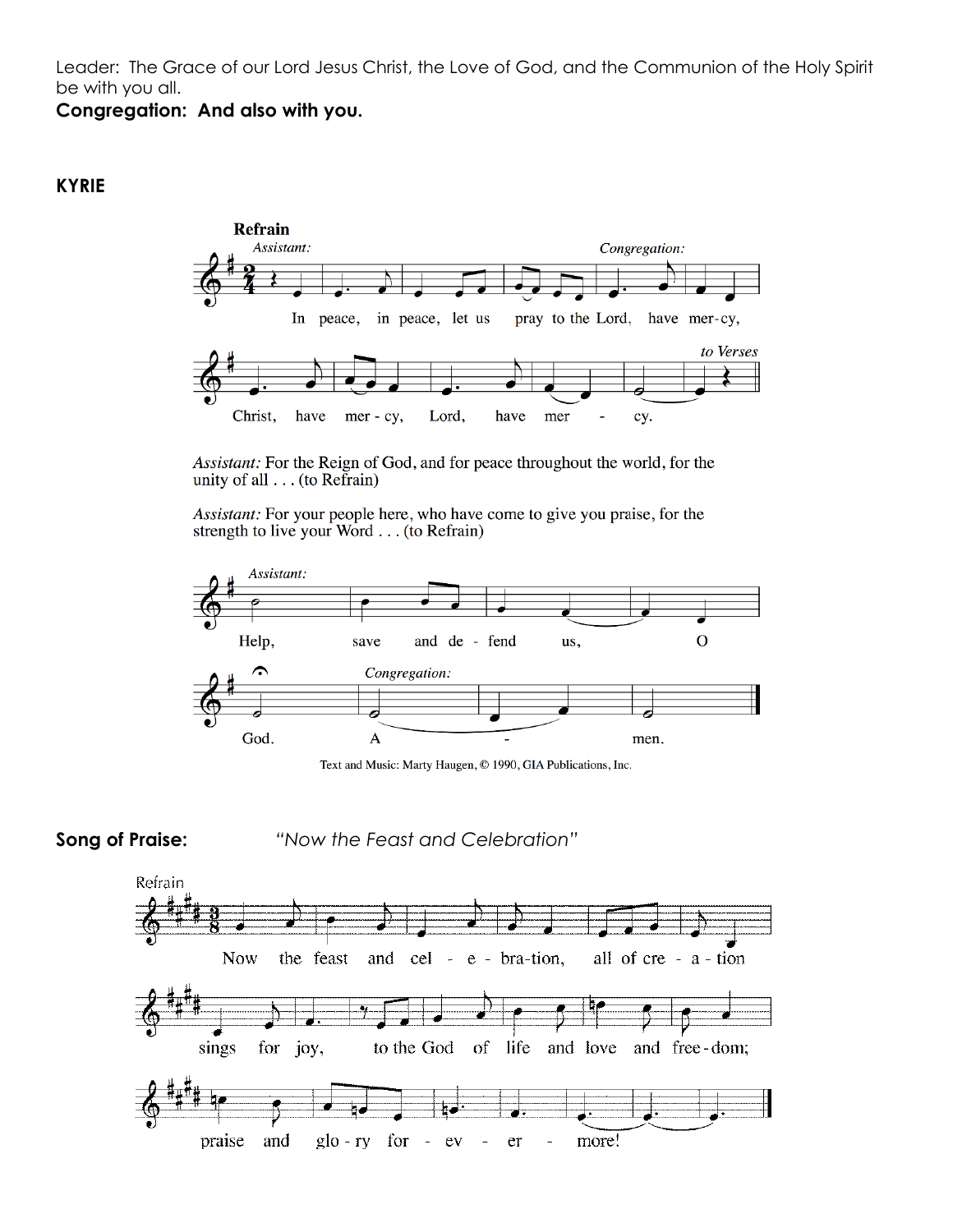Leader: The Grace of our Lord Jesus Christ, the Love of God, and the Communion of the Holy Spirit be with you all.

**Congregation: And also with you.**

# **KYRIE**



Assistant: For the Reign of God, and for peace throughout the world, for the unity of all  $\dots$  (to Refrain)

Assistant: For your people here, who have come to give you praise, for the strength to live your Word . . . (to Refrain)



Text and Music: Marty Haugen, © 1990, GIA Publications, Inc.

**Song of Praise:** *"Now the Feast and Celebration"*

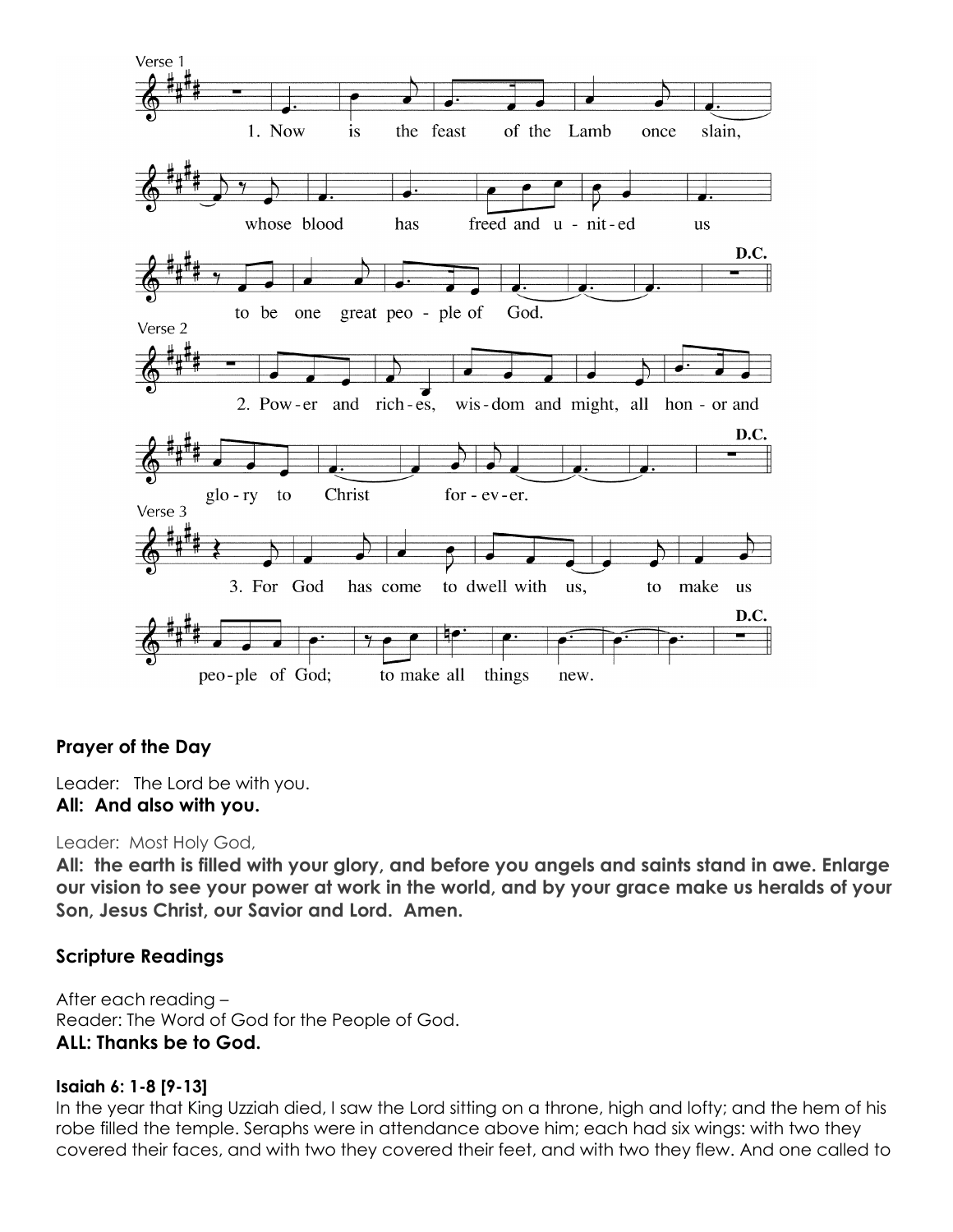

# **Prayer of the Day**

Leader: The Lord be with you. **All: And also with you.**

#### Leader: Most Holy God,

**All: the earth is filled with your glory, and before you angels and saints stand in awe. Enlarge our vision to see your power at work in the world, and by your grace make us heralds of your Son, Jesus Christ, our Savior and Lord. Amen.**

#### **Scripture Readings**

After each reading – Reader: The Word of God for the People of God. **ALL: Thanks be to God.**

#### **Isaiah 6: 1-8 [9-13]**

In the year that King Uzziah died, I saw the Lord sitting on a throne, high and lofty; and the hem of his robe filled the temple. Seraphs were in attendance above him; each had six wings: with two they covered their faces, and with two they covered their feet, and with two they flew. And one called to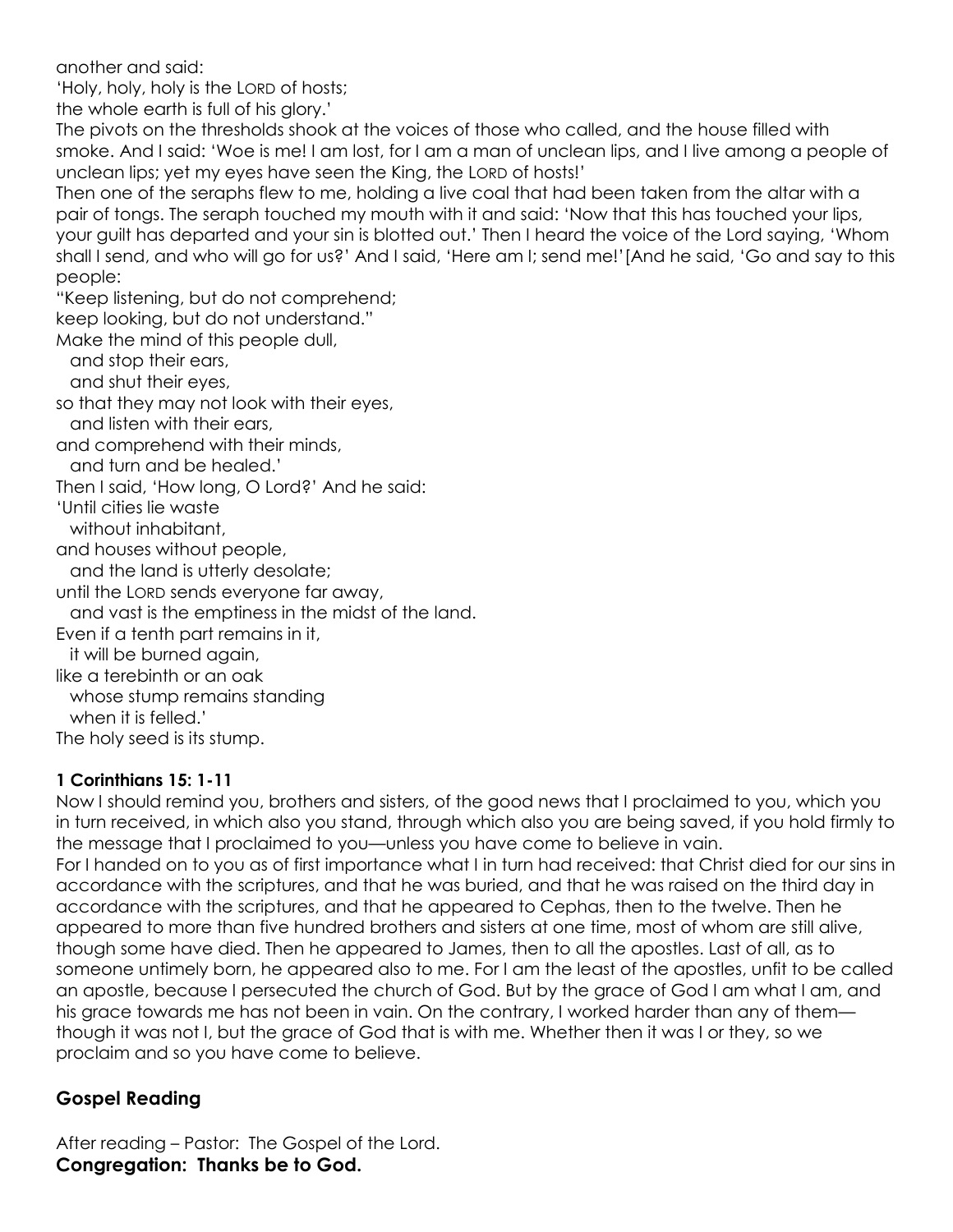another and said:

'Holy, holy, holy is the LORD of hosts;

the whole earth is full of his glory.'

The pivots on the thresholds shook at the voices of those who called, and the house filled with smoke. And I said: 'Woe is me! I am lost, for I am a man of unclean lips, and I live among a people of unclean lips; yet my eyes have seen the King, the LORD of hosts!'

Then one of the seraphs flew to me, holding a live coal that had been taken from the altar with a pair of tongs. The seraph touched my mouth with it and said: 'Now that this has touched your lips, your guilt has departed and your sin is blotted out.' Then I heard the voice of the Lord saying, 'Whom shall I send, and who will go for us?' And I said, 'Here am I; send me!'[And he said, 'Go and say to this people:

"Keep listening, but do not comprehend;

keep looking, but do not understand."

Make the mind of this people dull,

and stop their ears,

and shut their eyes,

so that they may not look with their eyes,

and listen with their ears,

and comprehend with their minds,

and turn and be healed.'

Then I said, 'How long, O Lord?' And he said:

'Until cities lie waste

without inhabitant,

and houses without people,

and the land is utterly desolate;

until the LORD sends everyone far away,

and vast is the emptiness in the midst of the land.

Even if a tenth part remains in it,

it will be burned again,

like a terebinth or an oak

whose stump remains standing

when it is felled.'

The holy seed is its stump.

#### **1 Corinthians 15: 1-11**

Now I should remind you, brothers and sisters, of the good news that I proclaimed to you, which you in turn received, in which also you stand, through which also you are being saved, if you hold firmly to the message that I proclaimed to you—unless you have come to believe in vain. For I handed on to you as of first importance what I in turn had received: that Christ died for our sins in accordance with the scriptures, and that he was buried, and that he was raised on the third day in accordance with the scriptures, and that he appeared to Cephas, then to the twelve. Then he appeared to more than five hundred brothers and sisters at one time, most of whom are still alive, though some have died. Then he appeared to James, then to all the apostles. Last of all, as to someone untimely born, he appeared also to me. For I am the least of the apostles, unfit to be called an apostle, because I persecuted the church of God. But by the grace of God I am what I am, and his grace towards me has not been in vain. On the contrary, I worked harder than any of them though it was not I, but the grace of God that is with me. Whether then it was I or they, so we proclaim and so you have come to believe.

# **Gospel Reading**

After reading – Pastor: The Gospel of the Lord. **Congregation: Thanks be to God.**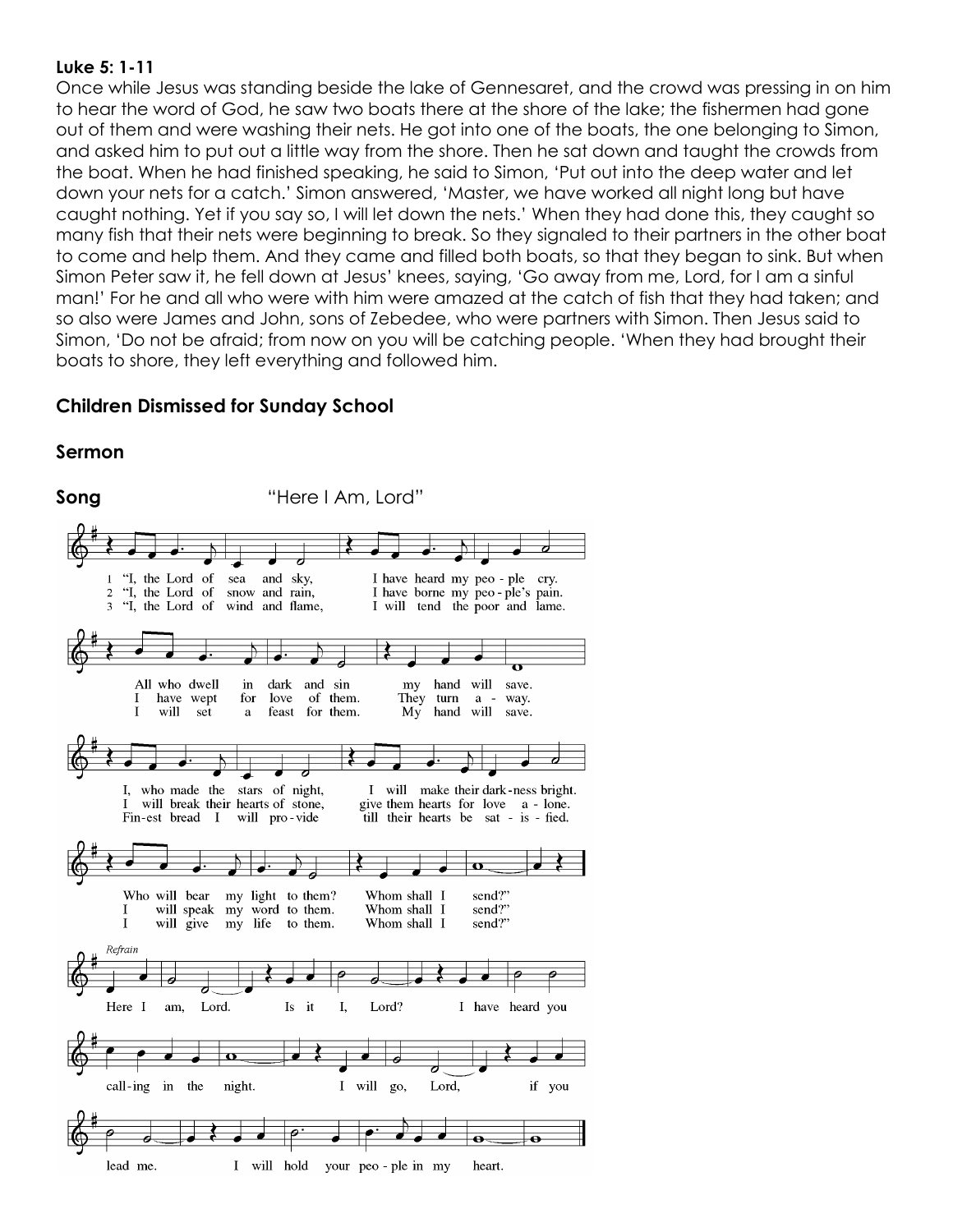#### **Luke 5: 1-11**

Once while Jesus was standing beside the lake of Gennesaret, and the crowd was pressing in on him to hear the word of God, he saw two boats there at the shore of the lake; the fishermen had gone out of them and were washing their nets. He got into one of the boats, the one belonging to Simon, and asked him to put out a little way from the shore. Then he sat down and taught the crowds from the boat. When he had finished speaking, he said to Simon, 'Put out into the deep water and let down your nets for a catch.' Simon answered, 'Master, we have worked all night long but have caught nothing. Yet if you say so, I will let down the nets.' When they had done this, they caught so many fish that their nets were beginning to break. So they signaled to their partners in the other boat to come and help them. And they came and filled both boats, so that they began to sink. But when Simon Peter saw it, he fell down at Jesus' knees, saying, 'Go away from me, Lord, for I am a sinful man!' For he and all who were with him were amazed at the catch of fish that they had taken; and so also were James and John, sons of Zebedee, who were partners with Simon. Then Jesus said to Simon, 'Do not be afraid; from now on you will be catching people. 'When they had brought their boats to shore, they left everything and followed him.

# **Children Dismissed for Sunday School**

# **Sermon**

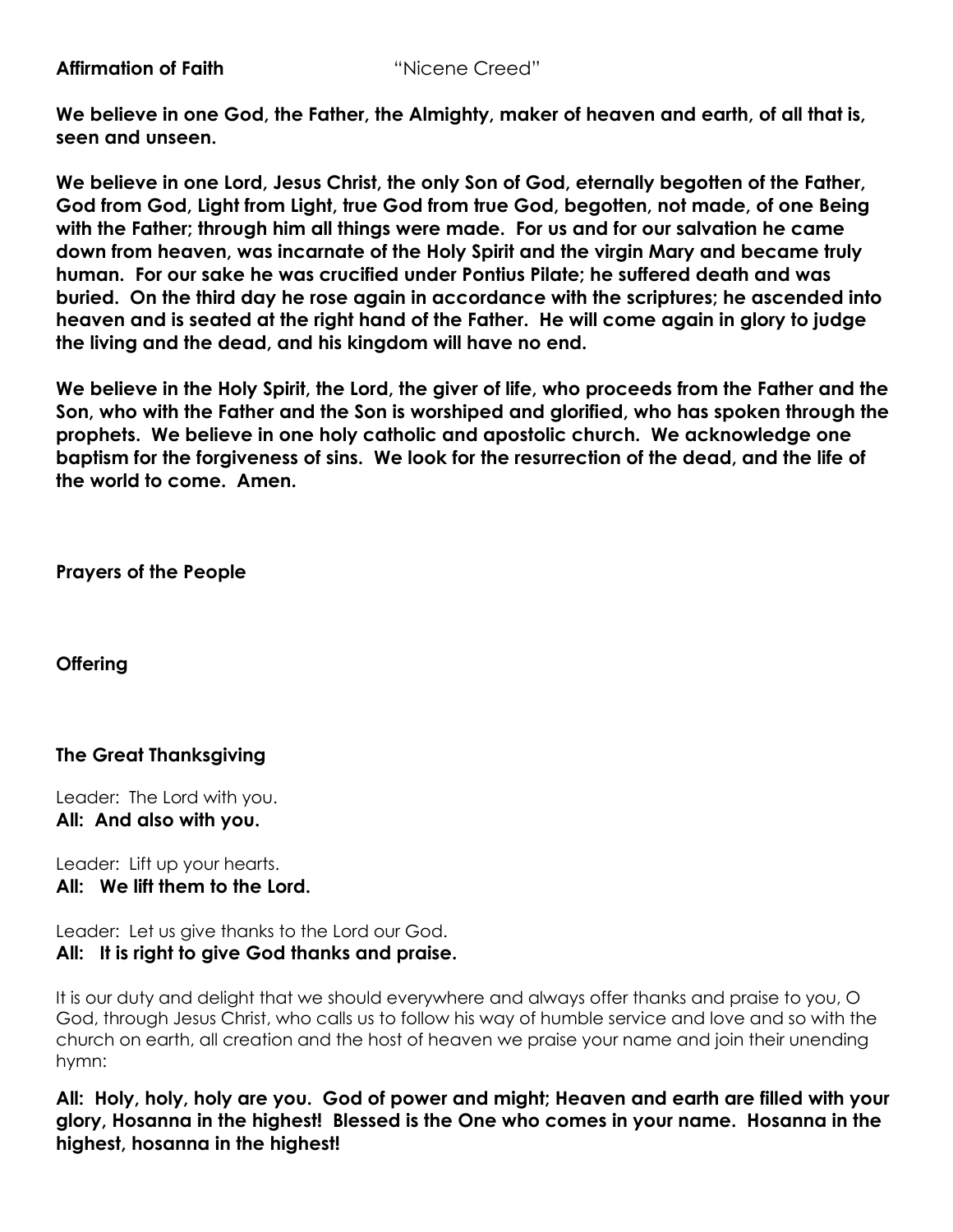**We believe in one God, the Father, the Almighty, maker of heaven and earth, of all that is, seen and unseen.**

**We believe in one Lord, Jesus Christ, the only Son of God, eternally begotten of the Father, God from God, Light from Light, true God from true God, begotten, not made, of one Being with the Father; through him all things were made. For us and for our salvation he came down from heaven, was incarnate of the Holy Spirit and the virgin Mary and became truly human. For our sake he was crucified under Pontius Pilate; he suffered death and was buried. On the third day he rose again in accordance with the scriptures; he ascended into heaven and is seated at the right hand of the Father. He will come again in glory to judge the living and the dead, and his kingdom will have no end.**

**We believe in the Holy Spirit, the Lord, the giver of life, who proceeds from the Father and the Son, who with the Father and the Son is worshiped and glorified, who has spoken through the prophets. We believe in one holy catholic and apostolic church. We acknowledge one baptism for the forgiveness of sins. We look for the resurrection of the dead, and the life of the world to come. Amen.**

**Prayers of the People**

**Offering**

# **The Great Thanksgiving**

Leader: The Lord with you. **All: And also with you.**

Leader: Lift up your hearts. **All: We lift them to the Lord.**

Leader: Let us give thanks to the Lord our God.

**All: It is right to give God thanks and praise.**

It is our duty and delight that we should everywhere and always offer thanks and praise to you, O God, through Jesus Christ, who calls us to follow his way of humble service and love and so with the church on earth, all creation and the host of heaven we praise your name and join their unending hymn:

**All: Holy, holy, holy are you. God of power and might; Heaven and earth are filled with your glory, Hosanna in the highest! Blessed is the One who comes in your name. Hosanna in the highest, hosanna in the highest!**